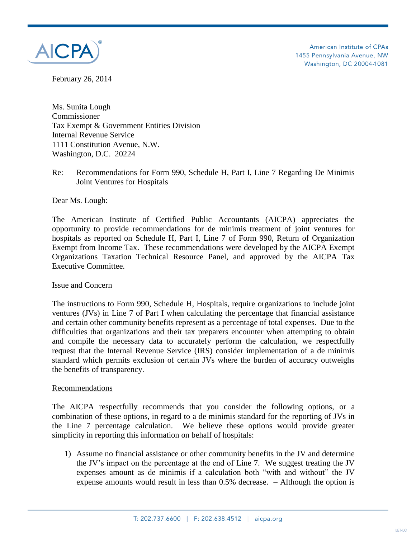

American Institute of CPAs 1455 Pennsylvania Avenue, NW Washington, DC 20004-1081

February 26, 2014

Ms. Sunita Lough Commissioner Tax Exempt & Government Entities Division Internal Revenue Service 1111 Constitution Avenue, N.W. Washington, D.C. 20224

## Re: Recommendations for Form 990, Schedule H, Part I, Line 7 Regarding De Minimis Joint Ventures for Hospitals

Dear Ms. Lough:

The American Institute of Certified Public Accountants (AICPA) appreciates the opportunity to provide recommendations for de minimis treatment of joint ventures for hospitals as reported on Schedule H, Part I, Line 7 of Form 990, Return of Organization Exempt from Income Tax. These recommendations were developed by the AICPA Exempt Organizations Taxation Technical Resource Panel, and approved by the AICPA Tax Executive Committee.

### Issue and Concern

The instructions to Form 990, Schedule H, Hospitals, require organizations to include joint ventures (JVs) in Line 7 of Part I when calculating the percentage that financial assistance and certain other community benefits represent as a percentage of total expenses. Due to the difficulties that organizations and their tax preparers encounter when attempting to obtain and compile the necessary data to accurately perform the calculation, we respectfully request that the Internal Revenue Service (IRS) consider implementation of a de minimis standard which permits exclusion of certain JVs where the burden of accuracy outweighs the benefits of transparency.

### Recommendations

The AICPA respectfully recommends that you consider the following options, or a combination of these options, in regard to a de minimis standard for the reporting of JVs in the Line 7 percentage calculation. We believe these options would provide greater simplicity in reporting this information on behalf of hospitals:

1) Assume no financial assistance or other community benefits in the JV and determine the JV's impact on the percentage at the end of Line 7. We suggest treating the JV expenses amount as de minimis if a calculation both "with and without" the JV expense amounts would result in less than 0.5% decrease. – Although the option is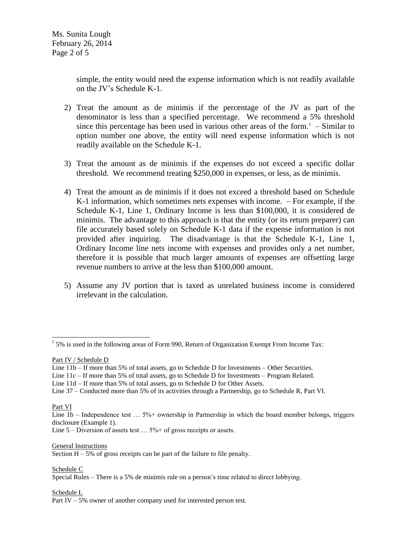simple, the entity would need the expense information which is not readily available on the JV's Schedule K-1.

- 2) Treat the amount as de minimis if the percentage of the JV as part of the denominator is less than a specified percentage. We recommend a 5% threshold since this percentage has been used in various other areas of the form. $1 -$ Similar to option number one above, the entity will need expense information which is not readily available on the Schedule K-1.
- 3) Treat the amount as de minimis if the expenses do not exceed a specific dollar threshold. We recommend treating \$250,000 in expenses, or less, as de minimis.
- 4) Treat the amount as de minimis if it does not exceed a threshold based on Schedule K-1 information, which sometimes nets expenses with income. – For example, if the Schedule K-1, Line 1, Ordinary Income is less than \$100,000, it is considered de minimis. The advantage to this approach is that the entity (or its return preparer) can file accurately based solely on Schedule K-1 data if the expense information is not provided after inquiring. The disadvantage is that the Schedule K-1, Line 1, Ordinary Income line nets income with expenses and provides only a net number, therefore it is possible that much larger amounts of expenses are offsetting large revenue numbers to arrive at the less than \$100,000 amount.
- 5) Assume any JV portion that is taxed as unrelated business income is considered irrelevant in the calculation.

Part IV / Schedule D

Line 11c – If more than 5% of total assets, go to Schedule D for Investments – Program Related.

Line 37 – Conducted more than 5% of its activities through a Partnership, go to Schedule R, Part VI.

Part VI

General Instructions

Section  $H - 5%$  of gross receipts can be part of the failure to file penalty.

Schedule C

Schedule L

Part IV – 5% owner of another company used for interested person test.

<sup>&</sup>lt;sup>1</sup> 5% is used in the following areas of Form 990, Return of Organization Exempt From Income Tax:

Line 11b – If more than 5% of total assets, go to Schedule D for Investments – Other Securities.

Line 11d – If more than 5% of total assets, go to Schedule D for Other Assets.

Line 1b – Independence test ... 5%+ ownership in Partnership in which the board member belongs, triggers disclosure (Example 1).

Line  $5$  – Diversion of assets test ...  $5\%$  + of gross receipts or assets.

Special Rules – There is a 5% de minimis rule on a person's time related to direct lobbying.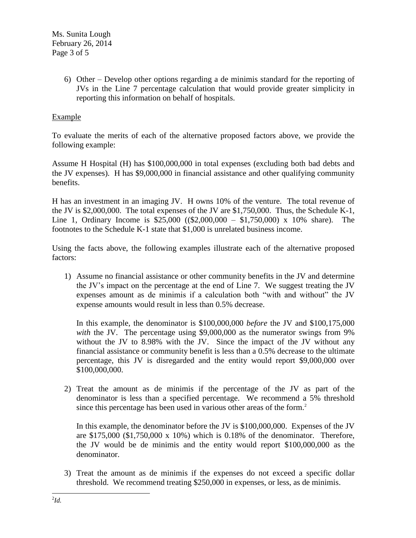6) Other – Develop other options regarding a de minimis standard for the reporting of JVs in the Line 7 percentage calculation that would provide greater simplicity in reporting this information on behalf of hospitals.

# Example

To evaluate the merits of each of the alternative proposed factors above, we provide the following example:

Assume H Hospital (H) has \$100,000,000 in total expenses (excluding both bad debts and the JV expenses). H has \$9,000,000 in financial assistance and other qualifying community benefits.

H has an investment in an imaging JV. H owns 10% of the venture. The total revenue of the JV is \$2,000,000. The total expenses of the JV are \$1,750,000. Thus, the Schedule K-1, Line 1, Ordinary Income is \$25,000 ((\$2,000,000 – \$1,750,000) x 10% share). The footnotes to the Schedule K-1 state that \$1,000 is unrelated business income.

Using the facts above, the following examples illustrate each of the alternative proposed factors:

1) Assume no financial assistance or other community benefits in the JV and determine the JV's impact on the percentage at the end of Line 7. We suggest treating the JV expenses amount as de minimis if a calculation both "with and without" the JV expense amounts would result in less than 0.5% decrease.

In this example, the denominator is \$100,000,000 *before* the JV and \$100,175,000 *with* the JV. The percentage using \$9,000,000 as the numerator swings from 9% without the JV to 8.98% with the JV. Since the impact of the JV without any financial assistance or community benefit is less than a 0.5% decrease to the ultimate percentage, this JV is disregarded and the entity would report \$9,000,000 over \$100,000,000.

2) Treat the amount as de minimis if the percentage of the JV as part of the denominator is less than a specified percentage. We recommend a 5% threshold since this percentage has been used in various other areas of the form.<sup>2</sup>

In this example, the denominator before the JV is \$100,000,000. Expenses of the JV are \$175,000 (\$1,750,000 x 10%) which is 0.18% of the denominator. Therefore, the JV would be de minimis and the entity would report \$100,000,000 as the denominator.

3) Treat the amount as de minimis if the expenses do not exceed a specific dollar threshold. We recommend treating \$250,000 in expenses, or less, as de minimis.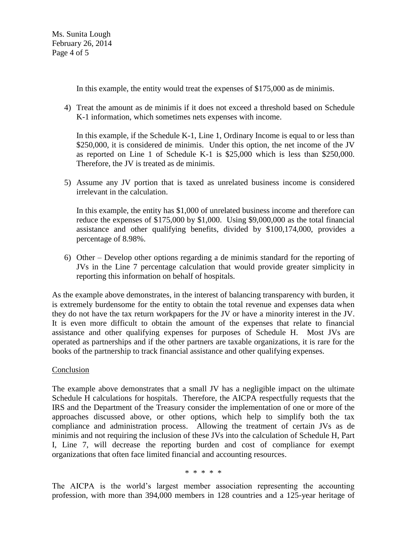Ms. Sunita Lough February 26, 2014 Page 4 of 5

In this example, the entity would treat the expenses of \$175,000 as de minimis.

4) Treat the amount as de minimis if it does not exceed a threshold based on Schedule K-1 information, which sometimes nets expenses with income.

In this example, if the Schedule K-1, Line 1, Ordinary Income is equal to or less than \$250,000, it is considered de minimis. Under this option, the net income of the JV as reported on Line 1 of Schedule K-1 is \$25,000 which is less than \$250,000. Therefore, the JV is treated as de minimis.

5) Assume any JV portion that is taxed as unrelated business income is considered irrelevant in the calculation.

In this example, the entity has \$1,000 of unrelated business income and therefore can reduce the expenses of \$175,000 by \$1,000. Using \$9,000,000 as the total financial assistance and other qualifying benefits, divided by \$100,174,000, provides a percentage of 8.98%.

6) Other – Develop other options regarding a de minimis standard for the reporting of JVs in the Line 7 percentage calculation that would provide greater simplicity in reporting this information on behalf of hospitals.

As the example above demonstrates, in the interest of balancing transparency with burden, it is extremely burdensome for the entity to obtain the total revenue and expenses data when they do not have the tax return workpapers for the JV or have a minority interest in the JV. It is even more difficult to obtain the amount of the expenses that relate to financial assistance and other qualifying expenses for purposes of Schedule H. Most JVs are operated as partnerships and if the other partners are taxable organizations, it is rare for the books of the partnership to track financial assistance and other qualifying expenses.

## Conclusion

The example above demonstrates that a small JV has a negligible impact on the ultimate Schedule H calculations for hospitals. Therefore, the AICPA respectfully requests that the IRS and the Department of the Treasury consider the implementation of one or more of the approaches discussed above, or other options, which help to simplify both the tax compliance and administration process. Allowing the treatment of certain JVs as de minimis and not requiring the inclusion of these JVs into the calculation of Schedule H, Part I, Line 7, will decrease the reporting burden and cost of compliance for exempt organizations that often face limited financial and accounting resources.

#### \* \* \* \* \*

The AICPA is the world's largest member association representing the accounting profession, with more than 394,000 members in 128 countries and a 125-year heritage of